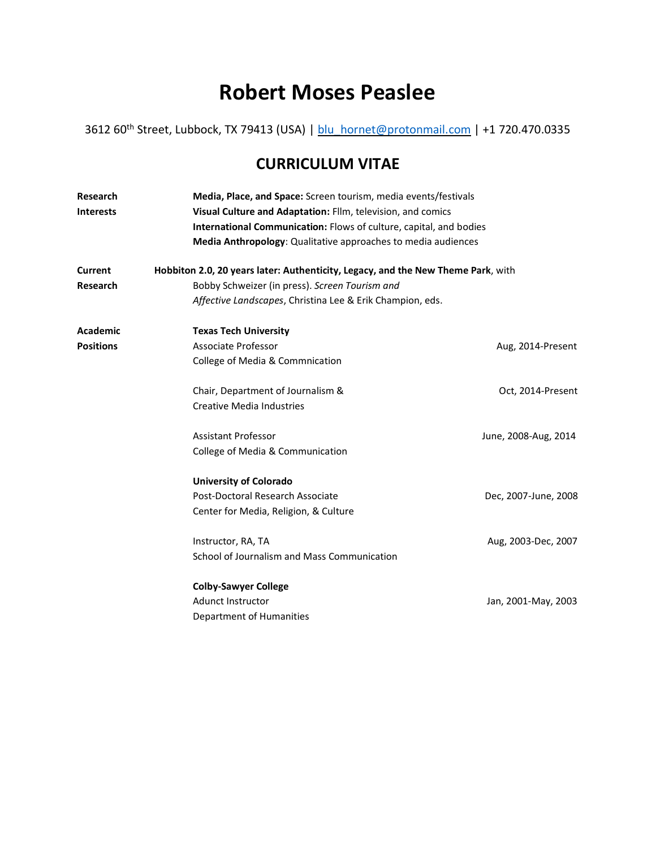# **Robert Moses Peaslee**

3612 60<sup>th</sup> Street, Lubbock, TX 79413 (USA) | **blu\_hornet@protonmail.com** | +1 720.470.0335

## **CURRICULUM VITAE**

| <b>Research</b>  | Media, Place, and Space: Screen tourism, media events/festivals                                                                   |                                                               |  |  |
|------------------|-----------------------------------------------------------------------------------------------------------------------------------|---------------------------------------------------------------|--|--|
| <b>Interests</b> | Visual Culture and Adaptation: Fllm, television, and comics<br>International Communication: Flows of culture, capital, and bodies |                                                               |  |  |
|                  |                                                                                                                                   |                                                               |  |  |
|                  |                                                                                                                                   | Media Anthropology: Qualitative approaches to media audiences |  |  |
| <b>Current</b>   | Hobbiton 2.0, 20 years later: Authenticity, Legacy, and the New Theme Park, with                                                  |                                                               |  |  |
| Research         | Bobby Schweizer (in press). Screen Tourism and                                                                                    |                                                               |  |  |
|                  | Affective Landscapes, Christina Lee & Erik Champion, eds.                                                                         |                                                               |  |  |
| <b>Academic</b>  | <b>Texas Tech University</b>                                                                                                      |                                                               |  |  |
| <b>Positions</b> | <b>Associate Professor</b>                                                                                                        | Aug, 2014-Present                                             |  |  |
|                  | College of Media & Commnication                                                                                                   |                                                               |  |  |
|                  | Chair, Department of Journalism &                                                                                                 | Oct, 2014-Present                                             |  |  |
|                  | <b>Creative Media Industries</b>                                                                                                  |                                                               |  |  |
|                  | <b>Assistant Professor</b>                                                                                                        | June, 2008-Aug, 2014                                          |  |  |
|                  | College of Media & Communication                                                                                                  |                                                               |  |  |
|                  | <b>University of Colorado</b>                                                                                                     |                                                               |  |  |
|                  | Post-Doctoral Research Associate                                                                                                  | Dec, 2007-June, 2008                                          |  |  |
|                  | Center for Media, Religion, & Culture                                                                                             |                                                               |  |  |
|                  | Instructor, RA, TA                                                                                                                | Aug, 2003-Dec, 2007                                           |  |  |
|                  | School of Journalism and Mass Communication                                                                                       |                                                               |  |  |
|                  | <b>Colby-Sawyer College</b>                                                                                                       |                                                               |  |  |
|                  | <b>Adunct Instructor</b>                                                                                                          | Jan, 2001-May, 2003                                           |  |  |
|                  | Department of Humanities                                                                                                          |                                                               |  |  |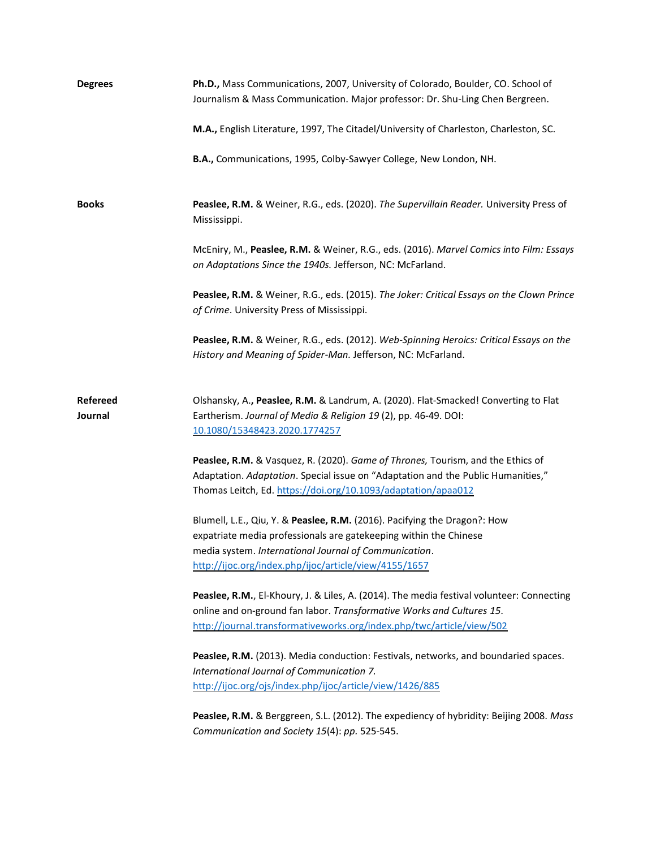| <b>Degrees</b>             | Ph.D., Mass Communications, 2007, University of Colorado, Boulder, CO. School of<br>Journalism & Mass Communication. Major professor: Dr. Shu-Ling Chen Bergreen.                                                                                                |
|----------------------------|------------------------------------------------------------------------------------------------------------------------------------------------------------------------------------------------------------------------------------------------------------------|
|                            | M.A., English Literature, 1997, The Citadel/University of Charleston, Charleston, SC.                                                                                                                                                                            |
|                            | B.A., Communications, 1995, Colby-Sawyer College, New London, NH.                                                                                                                                                                                                |
| <b>Books</b>               | Peaslee, R.M. & Weiner, R.G., eds. (2020). The Supervillain Reader. University Press of<br>Mississippi.                                                                                                                                                          |
|                            | McEniry, M., Peaslee, R.M. & Weiner, R.G., eds. (2016). Marvel Comics into Film: Essays<br>on Adaptations Since the 1940s. Jefferson, NC: McFarland.                                                                                                             |
|                            | Peaslee, R.M. & Weiner, R.G., eds. (2015). The Joker: Critical Essays on the Clown Prince<br>of Crime. University Press of Mississippi.                                                                                                                          |
|                            | Peaslee, R.M. & Weiner, R.G., eds. (2012). Web-Spinning Heroics: Critical Essays on the<br>History and Meaning of Spider-Man. Jefferson, NC: McFarland.                                                                                                          |
| <b>Refereed</b><br>Journal | Olshansky, A., Peaslee, R.M. & Landrum, A. (2020). Flat-Smacked! Converting to Flat<br>Eartherism. Journal of Media & Religion 19 (2), pp. 46-49. DOI:<br>10.1080/15348423.2020.1774257                                                                          |
|                            | Peaslee, R.M. & Vasquez, R. (2020). Game of Thrones, Tourism, and the Ethics of<br>Adaptation. Adaptation. Special issue on "Adaptation and the Public Humanities,"<br>Thomas Leitch, Ed. https://doi.org/10.1093/adaptation/apaa012                             |
|                            | Blumell, L.E., Qiu, Y. & Peaslee, R.M. (2016). Pacifying the Dragon?: How<br>expatriate media professionals are gatekeeping within the Chinese<br>media system. International Journal of Communication.<br>http://ijoc.org/index.php/ijoc/article/view/4155/1657 |
|                            | Peaslee, R.M., El-Khoury, J. & Liles, A. (2014). The media festival volunteer: Connecting<br>online and on-ground fan labor. Transformative Works and Cultures 15.<br>http://journal.transformativeworks.org/index.php/twc/article/view/502                      |
|                            | Peaslee, R.M. (2013). Media conduction: Festivals, networks, and boundaried spaces.<br>International Journal of Communication 7.<br>http://ijoc.org/ojs/index.php/ijoc/article/view/1426/885                                                                     |
|                            | Peaslee, R.M. & Berggreen, S.L. (2012). The expediency of hybridity: Beijing 2008. Mass<br>Communication and Society 15(4): pp. 525-545.                                                                                                                         |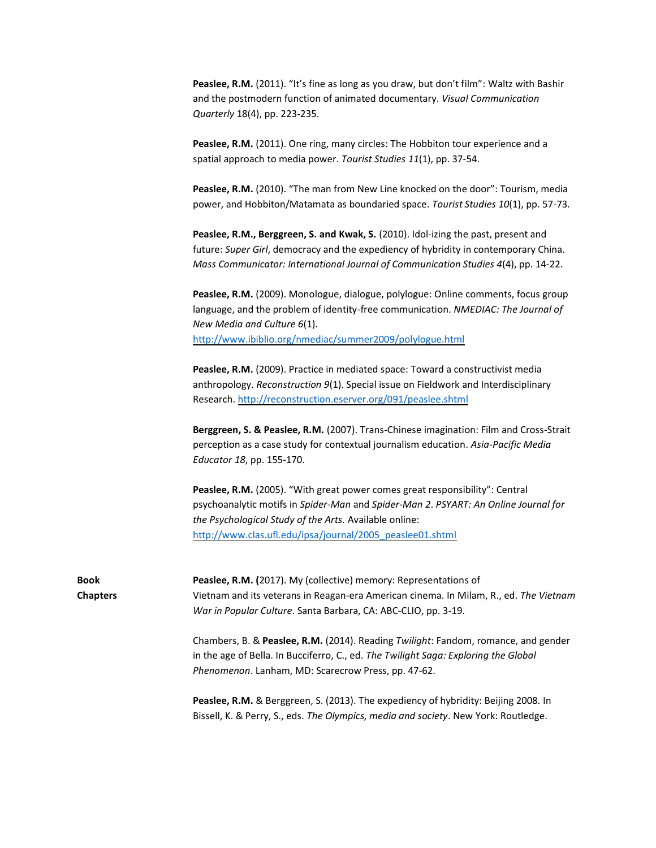**Peaslee, R.M.** (2011). "It's fine as long as you draw, but don't film": Waltz with Bashir and the postmodern function of animated documentary. *Visual Communication Quarterly* 18(4), pp. 223-235.

**Peaslee, R.M.** (2011). One ring, many circles: The Hobbiton tour experience and a spatial approach to media power. *Tourist Studies 11*(1), pp. 37-54.

**Peaslee, R.M.** (2010). "The man from New Line knocked on the door": Tourism, media power, and Hobbiton/Matamata as boundaried space. *Tourist Studies 10*(1), pp. 57-73.

**Peaslee, R.M., Berggreen, S. and Kwak, S.** (2010). Idol-izing the past, present and future: *Super Girl*, democracy and the expediency of hybridity in contemporary China. *Mass Communicator: International Journal of Communication Studies 4*(4), pp. 14-22.

**Peaslee, R.M.** (2009). Monologue, dialogue, polylogue: Online comments, focus group language, and the problem of identity-free communication. *NMEDIAC: The Journal of New Media and Culture 6*(1). <http://www.ibiblio.org/nmediac/summer2009/polylogue.html>

Peaslee, R.M. (2009). Practice in mediated space: Toward a constructivist media anthropology. *Reconstruction 9*(1). Special issue on Fieldwork and Interdisciplinary Research.<http://reconstruction.eserver.org/091/peaslee.shtml>

**Berggreen, S. & Peaslee, R.M.** (2007). Trans-Chinese imagination: Film and Cross-Strait perception as a case study for contextual journalism education. *Asia-Pacific Media Educator 18*, pp. 155-170.

Peaslee, R.M. (2005). "With great power comes great responsibility": Central psychoanalytic motifs in *Spider-Man* and *Spider-Man 2*. *PSYART: An Online Journal for the Psychological Study of the Arts.* Available online: [http://www.clas.ufl.edu/ipsa/journal/2005\\_peaslee01.shtml](http://www.clas.ufl.edu/ipsa/journal/2005_peaslee01.shtml)

Bissell, K. & Perry, S., eds. *The Olympics, media and society*. New York: Routledge.

| <b>Book</b>     | Peaslee, R.M. (2017). My (collective) memory: Representations of                           |  |
|-----------------|--------------------------------------------------------------------------------------------|--|
| <b>Chapters</b> | Vietnam and its veterans in Reagan-era American cinema. In Milam, R., ed. The Vietnam      |  |
|                 | War in Popular Culture. Santa Barbara, CA: ABC-CLIO, pp. 3-19.                             |  |
|                 | Chambers, B. & Peaslee, R.M. (2014). Reading Twilight: Fandom, romance, and gender         |  |
|                 | in the age of Bella. In Bucciferro, C., ed. The Twilight Saga: Exploring the Global        |  |
|                 | Phenomenon. Lanham, MD: Scarecrow Press, pp. 47-62.                                        |  |
|                 | <b>Peaslee, R.M.</b> & Berggreen, S. (2013). The expediency of hybridity: Beijing 2008. In |  |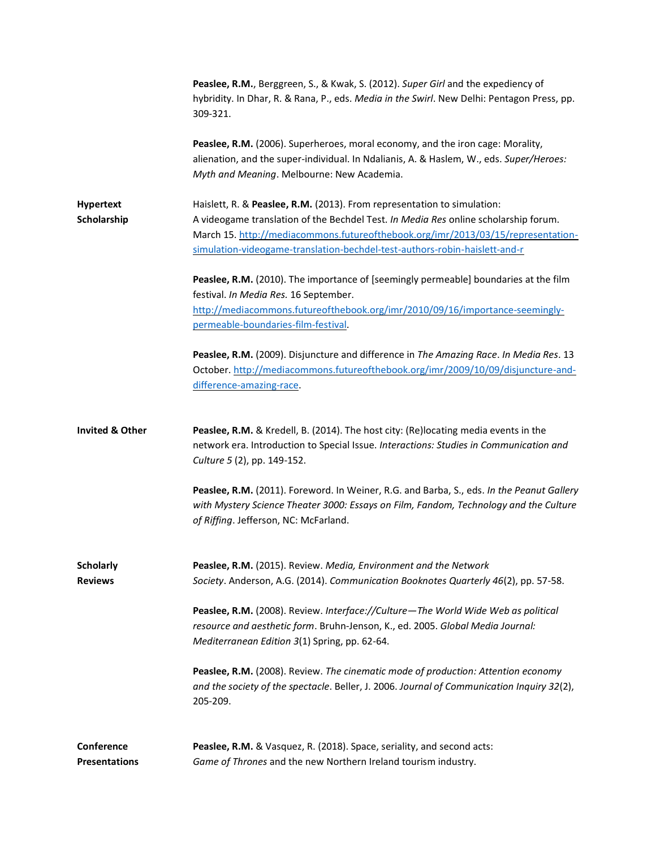|                                    | <b>Peaslee, R.M.</b> , Berggreen, S., & Kwak, S. (2012). Super Girl and the expediency of<br>hybridity. In Dhar, R. & Rana, P., eds. Media in the Swirl. New Delhi: Pentagon Press, pp.<br>309-321.                                                                                                                              |
|------------------------------------|----------------------------------------------------------------------------------------------------------------------------------------------------------------------------------------------------------------------------------------------------------------------------------------------------------------------------------|
|                                    | Peaslee, R.M. (2006). Superheroes, moral economy, and the iron cage: Morality,<br>alienation, and the super-individual. In Ndalianis, A. & Haslem, W., eds. Super/Heroes:<br>Myth and Meaning. Melbourne: New Academia.                                                                                                          |
| <b>Hypertext</b><br>Scholarship    | Haislett, R. & Peaslee, R.M. (2013). From representation to simulation:<br>A videogame translation of the Bechdel Test. In Media Res online scholarship forum.<br>March 15. http://mediacommons.futureofthebook.org/imr/2013/03/15/representation-<br>simulation-videogame-translation-bechdel-test-authors-robin-haislett-and-r |
|                                    | Peaslee, R.M. (2010). The importance of [seemingly permeable] boundaries at the film<br>festival. In Media Res. 16 September.<br>http://mediacommons.futureofthebook.org/imr/2010/09/16/importance-seemingly-<br>permeable-boundaries-film-festival.                                                                             |
|                                    | Peaslee, R.M. (2009). Disjuncture and difference in The Amazing Race. In Media Res. 13<br>October. http://mediacommons.futureofthebook.org/imr/2009/10/09/disjuncture-and-<br>difference-amazing-race.                                                                                                                           |
| <b>Invited &amp; Other</b>         | Peaslee, R.M. & Kredell, B. (2014). The host city: (Re)locating media events in the<br>network era. Introduction to Special Issue. Interactions: Studies in Communication and<br>Culture 5 (2), pp. 149-152.                                                                                                                     |
|                                    | Peaslee, R.M. (2011). Foreword. In Weiner, R.G. and Barba, S., eds. In the Peanut Gallery<br>with Mystery Science Theater 3000: Essays on Film, Fandom, Technology and the Culture<br>of Riffing. Jefferson, NC: McFarland.                                                                                                      |
| <b>Scholarly</b><br><b>Reviews</b> | Peaslee, R.M. (2015). Review. Media, Environment and the Network<br>Society. Anderson, A.G. (2014). Communication Booknotes Quarterly 46(2), pp. 57-58.                                                                                                                                                                          |
|                                    | Peaslee, R.M. (2008). Review. Interface://Culture-The World Wide Web as political<br>resource and aesthetic form. Bruhn-Jenson, K., ed. 2005. Global Media Journal:<br>Mediterranean Edition 3(1) Spring, pp. 62-64.                                                                                                             |
|                                    | Peaslee, R.M. (2008). Review. The cinematic mode of production: Attention economy<br>and the society of the spectacle. Beller, J. 2006. Journal of Communication Inquiry 32(2),<br>205-209.                                                                                                                                      |
| Conference<br><b>Presentations</b> | Peaslee, R.M. & Vasquez, R. (2018). Space, seriality, and second acts:<br>Game of Thrones and the new Northern Ireland tourism industry.                                                                                                                                                                                         |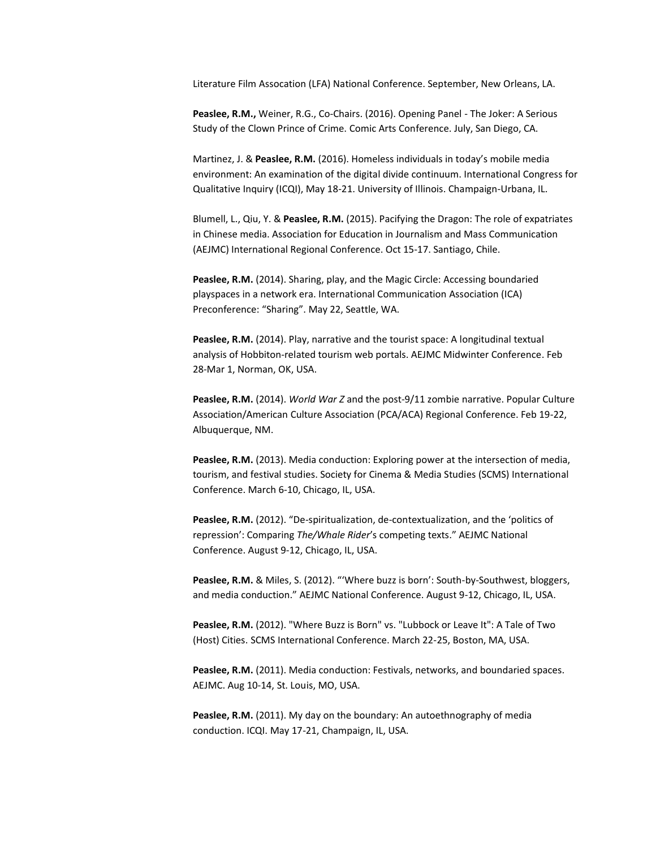Literature Film Assocation (LFA) National Conference. September, New Orleans, LA.

**Peaslee, R.M.,** Weiner, R.G., Co-Chairs. (2016). Opening Panel - The Joker: A Serious Study of the Clown Prince of Crime. Comic Arts Conference. July, San Diego, CA.

Martinez, J. & **Peaslee, R.M.** (2016). Homeless individuals in today's mobile media environment: An examination of the digital divide continuum. International Congress for Qualitative Inquiry (ICQI), May 18-21. University of Illinois. Champaign-Urbana, IL.

Blumell, L., Qiu, Y. & **Peaslee, R.M.** (2015). Pacifying the Dragon: The role of expatriates in Chinese media. Association for Education in Journalism and Mass Communication (AEJMC) International Regional Conference. Oct 15-17. Santiago, Chile.

**Peaslee, R.M.** (2014). Sharing, play, and the Magic Circle: Accessing boundaried playspaces in a network era. International Communication Association (ICA) Preconference: "Sharing". May 22, Seattle, WA.

**Peaslee, R.M.** (2014). Play, narrative and the tourist space: A longitudinal textual analysis of Hobbiton-related tourism web portals. AEJMC Midwinter Conference. Feb 28-Mar 1, Norman, OK, USA.

**Peaslee, R.M.** (2014). *World War Z* and the post-9/11 zombie narrative. Popular Culture Association/American Culture Association (PCA/ACA) Regional Conference. Feb 19-22, Albuquerque, NM.

**Peaslee, R.M.** (2013). Media conduction: Exploring power at the intersection of media, tourism, and festival studies. Society for Cinema & Media Studies (SCMS) International Conference. March 6-10, Chicago, IL, USA.

**Peaslee, R.M.** (2012). "De-spiritualization, de-contextualization, and the 'politics of repression': Comparing *The/Whale Rider*'s competing texts." AEJMC National Conference. August 9-12, Chicago, IL, USA.

**Peaslee, R.M.** & Miles, S. (2012). "'Where buzz is born': South-by-Southwest, bloggers, and media conduction." AEJMC National Conference. August 9-12, Chicago, IL, USA.

**Peaslee, R.M.** (2012). "Where Buzz is Born" vs. "Lubbock or Leave It": A Tale of Two (Host) Cities. SCMS International Conference. March 22-25, Boston, MA, USA.

Peaslee, R.M. (2011). Media conduction: Festivals, networks, and boundaried spaces. AEJMC. Aug 10-14, St. Louis, MO, USA.

**Peaslee, R.M.** (2011). My day on the boundary: An autoethnography of media conduction. ICQI. May 17-21, Champaign, IL, USA.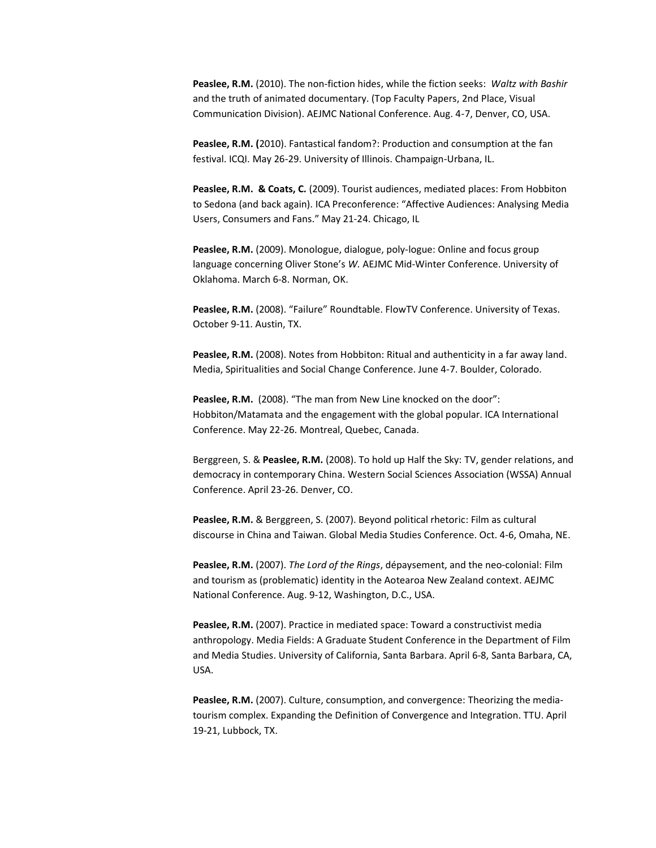**Peaslee, R.M.** (2010). The non-fiction hides, while the fiction seeks: *Waltz with Bashir*  and the truth of animated documentary. (Top Faculty Papers, 2nd Place, Visual Communication Division). AEJMC National Conference. Aug. 4-7, Denver, CO, USA.

**Peaslee, R.M. (**2010). Fantastical fandom?: Production and consumption at the fan festival. ICQI. May 26-29. University of Illinois. Champaign-Urbana, IL.

**Peaslee, R.M. & Coats, C.** (2009). Tourist audiences, mediated places: From Hobbiton to Sedona (and back again). ICA Preconference: "Affective Audiences: Analysing Media Users, Consumers and Fans." May 21-24. Chicago, IL

Peaslee, R.M. (2009). Monologue, dialogue, poly-logue: Online and focus group language concerning Oliver Stone's *W.* AEJMC Mid-Winter Conference. University of Oklahoma. March 6-8. Norman, OK.

Peaslee, R.M. (2008). "Failure" Roundtable. FlowTV Conference. University of Texas. October 9-11. Austin, TX.

**Peaslee, R.M.** (2008). Notes from Hobbiton: Ritual and authenticity in a far away land. Media, Spiritualities and Social Change Conference. June 4-7. Boulder, Colorado.

Peaslee, R.M. (2008). "The man from New Line knocked on the door": Hobbiton/Matamata and the engagement with the global popular. ICA International Conference. May 22-26. Montreal, Quebec, Canada.

Berggreen, S. & **Peaslee, R.M.** (2008). To hold up Half the Sky: TV, gender relations, and democracy in contemporary China. Western Social Sciences Association (WSSA) Annual Conference. April 23-26. Denver, CO.

**Peaslee, R.M.** & Berggreen, S. (2007). Beyond political rhetoric: Film as cultural discourse in China and Taiwan. Global Media Studies Conference. Oct. 4-6, Omaha, NE.

**Peaslee, R.M.** (2007). *The Lord of the Rings*, dépaysement, and the neo-colonial: Film and tourism as (problematic) identity in the Aotearoa New Zealand context. AEJMC National Conference. Aug. 9-12, Washington, D.C., USA.

**Peaslee, R.M.** (2007). Practice in mediated space: Toward a constructivist media anthropology. Media Fields: A Graduate Student Conference in the Department of Film and Media Studies. University of California, Santa Barbara. April 6-8, Santa Barbara, CA, USA.

Peaslee, R.M. (2007). Culture, consumption, and convergence: Theorizing the mediatourism complex. Expanding the Definition of Convergence and Integration. TTU. April 19-21, Lubbock, TX.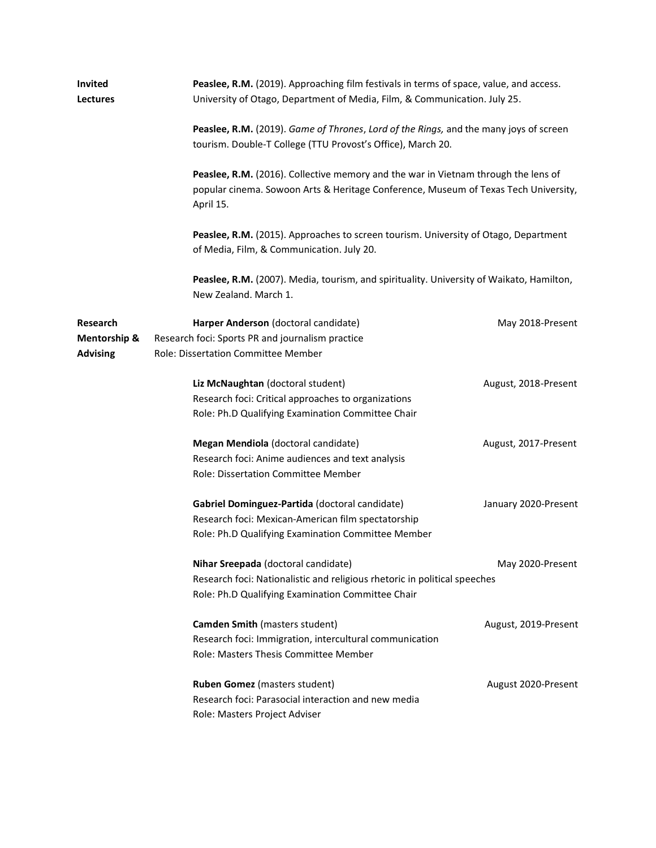| <b>Invited</b><br>Lectures                  | Peaslee, R.M. (2019). Approaching film festivals in terms of space, value, and access.<br>University of Otago, Department of Media, Film, & Communication. July 25.   |                                                                                                                                                                                                                                                                                 |  |  |
|---------------------------------------------|-----------------------------------------------------------------------------------------------------------------------------------------------------------------------|---------------------------------------------------------------------------------------------------------------------------------------------------------------------------------------------------------------------------------------------------------------------------------|--|--|
|                                             | tourism. Double-T College (TTU Provost's Office), March 20.                                                                                                           | Peaslee, R.M. (2019). Game of Thrones, Lord of the Rings, and the many joys of screen<br>Peaslee, R.M. (2016). Collective memory and the war in Vietnam through the lens of<br>popular cinema. Sowoon Arts & Heritage Conference, Museum of Texas Tech University,<br>April 15. |  |  |
|                                             |                                                                                                                                                                       |                                                                                                                                                                                                                                                                                 |  |  |
|                                             | Peaslee, R.M. (2015). Approaches to screen tourism. University of Otago, Department<br>of Media, Film, & Communication. July 20.                                      |                                                                                                                                                                                                                                                                                 |  |  |
|                                             | Peaslee, R.M. (2007). Media, tourism, and spirituality. University of Waikato, Hamilton,<br>New Zealand, March 1.                                                     |                                                                                                                                                                                                                                                                                 |  |  |
| Research<br>Mentorship &<br><b>Advising</b> | Harper Anderson (doctoral candidate)<br>Research foci: Sports PR and journalism practice<br>Role: Dissertation Committee Member                                       | May 2018-Present                                                                                                                                                                                                                                                                |  |  |
|                                             | Liz McNaughtan (doctoral student)<br>Research foci: Critical approaches to organizations<br>Role: Ph.D Qualifying Examination Committee Chair                         | August, 2018-Present                                                                                                                                                                                                                                                            |  |  |
|                                             | Megan Mendiola (doctoral candidate)<br>Research foci: Anime audiences and text analysis<br>Role: Dissertation Committee Member                                        | August, 2017-Present                                                                                                                                                                                                                                                            |  |  |
|                                             | Gabriel Dominguez-Partida (doctoral candidate)<br>Research foci: Mexican-American film spectatorship<br>Role: Ph.D Qualifying Examination Committee Member            | January 2020-Present                                                                                                                                                                                                                                                            |  |  |
|                                             | Nihar Sreepada (doctoral candidate)<br>Research foci: Nationalistic and religious rhetoric in political speeches<br>Role: Ph.D Qualifying Examination Committee Chair | May 2020-Present                                                                                                                                                                                                                                                                |  |  |
|                                             | <b>Camden Smith (masters student)</b><br>Research foci: Immigration, intercultural communication<br>Role: Masters Thesis Committee Member                             | August, 2019-Present                                                                                                                                                                                                                                                            |  |  |
|                                             | <b>Ruben Gomez</b> (masters student)<br>Research foci: Parasocial interaction and new media<br>Role: Masters Project Adviser                                          | August 2020-Present                                                                                                                                                                                                                                                             |  |  |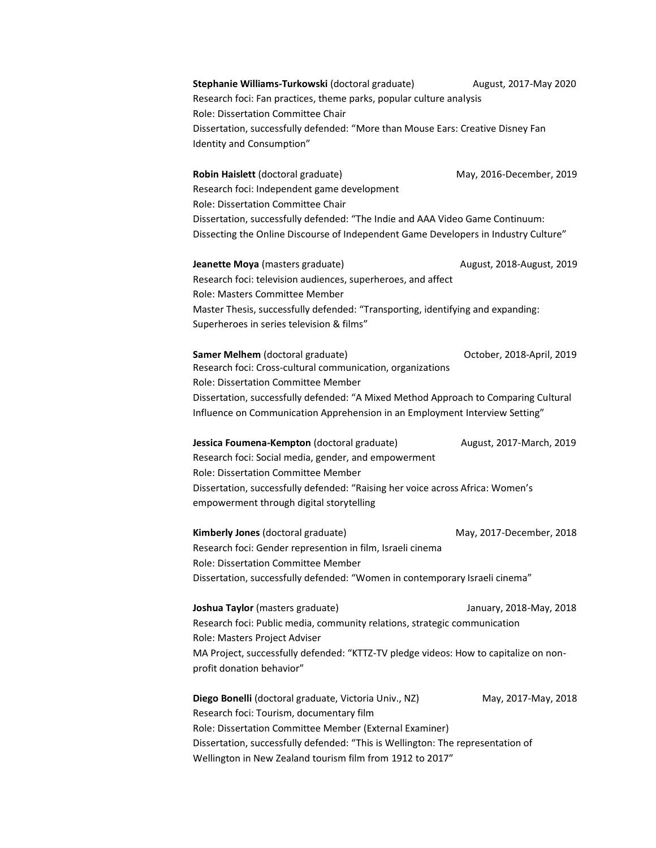**Stephanie Williams-Turkowski** (doctoral graduate) August, 2017-May 2020 Research foci: Fan practices, theme parks, popular culture analysis Role: Dissertation Committee Chair Dissertation, successfully defended: "More than Mouse Ears: Creative Disney Fan Identity and Consumption"

**Robin Haislett** (doctoral graduate) May, 2016-December, 2019 Research foci: Independent game development Role: Dissertation Committee Chair Dissertation, successfully defended: "The Indie and AAA Video Game Continuum: Dissecting the Online Discourse of Independent Game Developers in Industry Culture"

**Jeanette Moya** (masters graduate) **August, 2018-August, 2019** Research foci: television audiences, superheroes, and affect Role: Masters Committee Member Master Thesis, successfully defended: "Transporting, identifying and expanding: Superheroes in series television & films"

**Samer Melhem** (doctoral graduate) October, 2018-April, 2019 Research foci: Cross-cultural communication, organizations Role: Dissertation Committee Member Dissertation, successfully defended: "A Mixed Method Approach to Comparing Cultural Influence on Communication Apprehension in an Employment Interview Setting"

**Jessica Foumena-Kempton** (doctoral graduate) August, 2017-March, 2019 Research foci: Social media, gender, and empowerment Role: Dissertation Committee Member Dissertation, successfully defended: "Raising her voice across Africa: Women's empowerment through digital storytelling

**Kimberly Jones** (doctoral graduate) May, 2017-December, 2018 Research foci: Gender represention in film, Israeli cinema Role: Dissertation Committee Member Dissertation, successfully defended: "Women in contemporary Israeli cinema"

**Joshua Taylor** (masters graduate) January, 2018-May, 2018 Research foci: Public media, community relations, strategic communication Role: Masters Project Adviser MA Project, successfully defended: "KTTZ-TV pledge videos: How to capitalize on nonprofit donation behavior"

**Diego Bonelli** (doctoral graduate, Victoria Univ., NZ) May, 2017-May, 2018 Research foci: Tourism, documentary film Role: Dissertation Committee Member (External Examiner) Dissertation, successfully defended: "This is Wellington: The representation of Wellington in New Zealand tourism film from 1912 to 2017"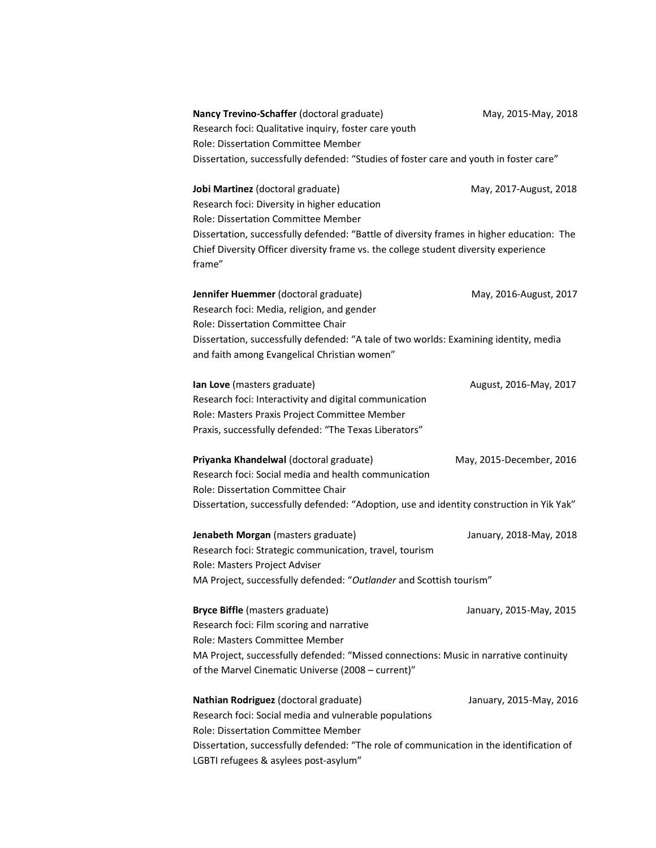| Nancy Trevino-Schaffer (doctoral graduate)                                                                                                                                                  | May, 2015-May, 2018      |
|---------------------------------------------------------------------------------------------------------------------------------------------------------------------------------------------|--------------------------|
| Research foci: Qualitative inquiry, foster care youth                                                                                                                                       |                          |
| Role: Dissertation Committee Member                                                                                                                                                         |                          |
| Dissertation, successfully defended: "Studies of foster care and youth in foster care"                                                                                                      |                          |
| Jobi Martinez (doctoral graduate)                                                                                                                                                           | May, 2017-August, 2018   |
| Research foci: Diversity in higher education                                                                                                                                                |                          |
| Role: Dissertation Committee Member                                                                                                                                                         |                          |
| Dissertation, successfully defended: "Battle of diversity frames in higher education: The<br>Chief Diversity Officer diversity frame vs. the college student diversity experience<br>frame" |                          |
| Jennifer Huemmer (doctoral graduate)                                                                                                                                                        | May, 2016-August, 2017   |
| Research foci: Media, religion, and gender                                                                                                                                                  |                          |
| Role: Dissertation Committee Chair                                                                                                                                                          |                          |
| Dissertation, successfully defended: "A tale of two worlds: Examining identity, media                                                                                                       |                          |
| and faith among Evangelical Christian women"                                                                                                                                                |                          |
| Ian Love (masters graduate)                                                                                                                                                                 | August, 2016-May, 2017   |
| Research foci: Interactivity and digital communication                                                                                                                                      |                          |
| Role: Masters Praxis Project Committee Member                                                                                                                                               |                          |
| Praxis, successfully defended: "The Texas Liberators"                                                                                                                                       |                          |
|                                                                                                                                                                                             |                          |
| Priyanka Khandelwal (doctoral graduate)                                                                                                                                                     | May, 2015-December, 2016 |
| Research foci: Social media and health communication                                                                                                                                        |                          |
| Role: Dissertation Committee Chair                                                                                                                                                          |                          |
| Dissertation, successfully defended: "Adoption, use and identity construction in Yik Yak"                                                                                                   |                          |
| Jenabeth Morgan (masters graduate)                                                                                                                                                          | January, 2018-May, 2018  |
| Research foci: Strategic communication, travel, tourism                                                                                                                                     |                          |
| Role: Masters Project Adviser                                                                                                                                                               |                          |
| MA Project, successfully defended: "Outlander and Scottish tourism"                                                                                                                         |                          |
| <b>Bryce Biffle</b> (masters graduate)                                                                                                                                                      | January, 2015-May, 2015  |
| Research foci: Film scoring and narrative                                                                                                                                                   |                          |
| Role: Masters Committee Member                                                                                                                                                              |                          |
| MA Project, successfully defended: "Missed connections: Music in narrative continuity                                                                                                       |                          |
| of the Marvel Cinematic Universe (2008 - current)"                                                                                                                                          |                          |
| Nathian Rodriguez (doctoral graduate)                                                                                                                                                       | January, 2015-May, 2016  |
| Research foci: Social media and vulnerable populations                                                                                                                                      |                          |
| Role: Dissertation Committee Member                                                                                                                                                         |                          |
| Dissertation, successfully defended: "The role of communication in the identification of                                                                                                    |                          |
| LGBTI refugees & asylees post-asylum"                                                                                                                                                       |                          |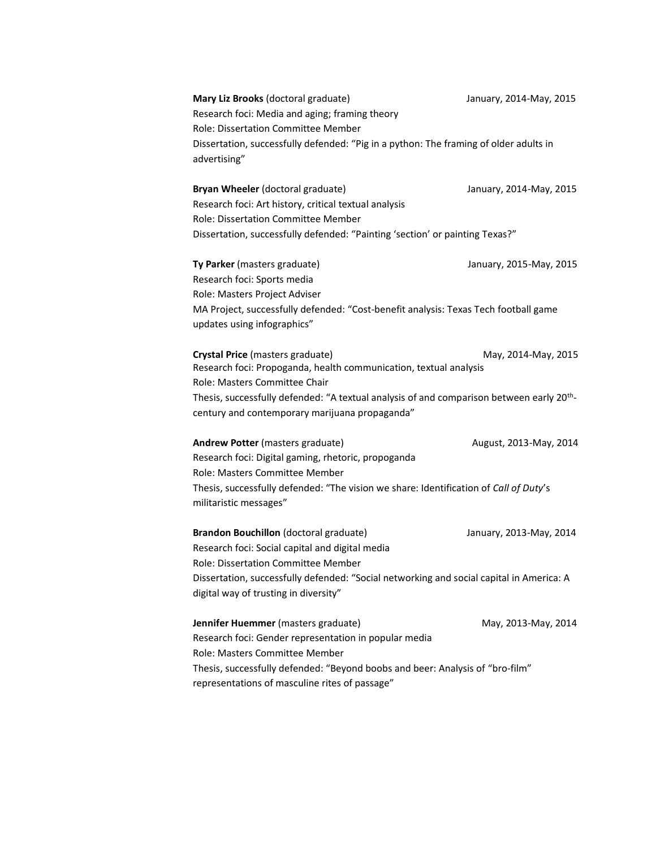**Mary Liz Brooks** (doctoral graduate) January, 2014-May, 2015 Research foci: Media and aging; framing theory Role: Dissertation Committee Member Dissertation, successfully defended: "Pig in a python: The framing of older adults in advertising"

**Bryan Wheeler** (doctoral graduate) January, 2014-May, 2015 Research foci: Art history, critical textual analysis Role: Dissertation Committee Member Dissertation, successfully defended: "Painting 'section' or painting Texas?"

**Ty Parker** (masters graduate) January, 2015-May, 2015 Research foci: Sports media Role: Masters Project Adviser MA Project, successfully defended: "Cost-benefit analysis: Texas Tech football game updates using infographics"

**Crystal Price** (masters graduate) May, 2014-May, 2015 Research foci: Propoganda, health communication, textual analysis Role: Masters Committee Chair Thesis, successfully defended: "A textual analysis of and comparison between early 20<sup>th</sup>century and contemporary marijuana propaganda"

**Andrew Potter** (masters graduate) **August, 2013-May, 2014** Research foci: Digital gaming, rhetoric, propoganda Role: Masters Committee Member Thesis, successfully defended: "The vision we share: Identification of *Call of Duty*'s militaristic messages"

**Brandon Bouchillon** (doctoral graduate) January, 2013-May, 2014 Research foci: Social capital and digital media Role: Dissertation Committee Member Dissertation, successfully defended: "Social networking and social capital in America: A digital way of trusting in diversity"

**Jennifer Huemmer** (masters graduate) May, 2013-May, 2014 Research foci: Gender representation in popular media Role: Masters Committee Member Thesis, successfully defended: "Beyond boobs and beer: Analysis of "bro-film" representations of masculine rites of passage"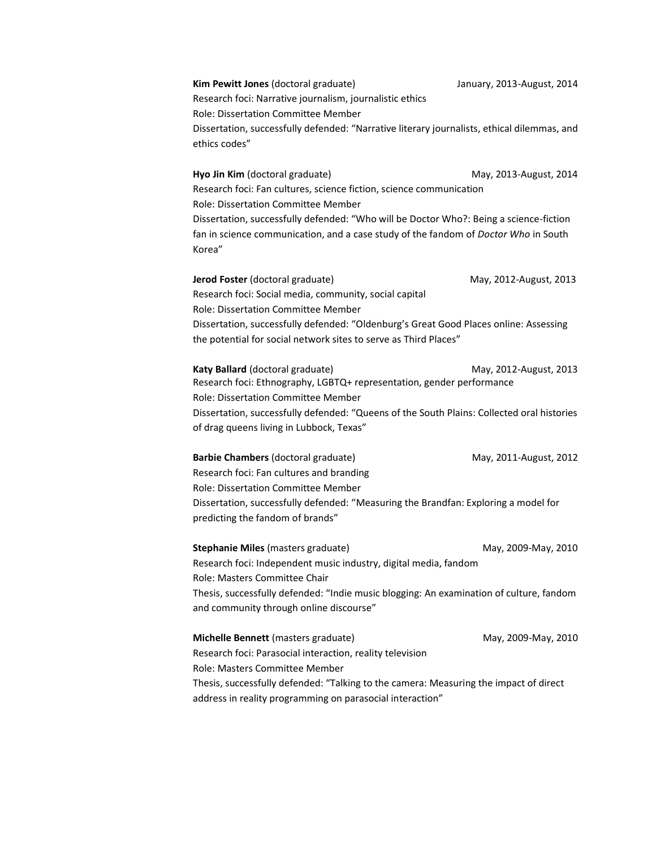**Kim Pewitt Jones** (doctoral graduate) January, 2013-August, 2014 Research foci: Narrative journalism, journalistic ethics Role: Dissertation Committee Member Dissertation, successfully defended: "Narrative literary journalists, ethical dilemmas, and ethics codes"

**Hyo Jin Kim** (doctoral graduate) May, 2013-August, 2014 Research foci: Fan cultures, science fiction, science communication Role: Dissertation Committee Member Dissertation, successfully defended: "Who will be Doctor Who?: Being a science-fiction fan in science communication, and a case study of the fandom of *Doctor Who* in South Korea"

**Jerod Foster** (doctoral graduate) May, 2012-August, 2013 Research foci: Social media, community, social capital Role: Dissertation Committee Member Dissertation, successfully defended: "Oldenburg's Great Good Places online: Assessing the potential for social network sites to serve as Third Places"

**Katy Ballard** (doctoral graduate) May, 2012-August, 2013 Research foci: Ethnography, LGBTQ+ representation, gender performance Role: Dissertation Committee Member Dissertation, successfully defended: "Queens of the South Plains: Collected oral histories of drag queens living in Lubbock, Texas"

**Barbie Chambers** (doctoral graduate) May, 2011-August, 2012 Research foci: Fan cultures and branding Role: Dissertation Committee Member Dissertation, successfully defended: "Measuring the Brandfan: Exploring a model for predicting the fandom of brands"

**Stephanie Miles** (masters graduate) May, 2009-May, 2010 Research foci: Independent music industry, digital media, fandom Role: Masters Committee Chair Thesis, successfully defended: "Indie music blogging: An examination of culture, fandom and community through online discourse"

**Michelle Bennett** (masters graduate) May, 2009-May, 2010 Research foci: Parasocial interaction, reality television Role: Masters Committee Member Thesis, successfully defended: "Talking to the camera: Measuring the impact of direct address in reality programming on parasocial interaction"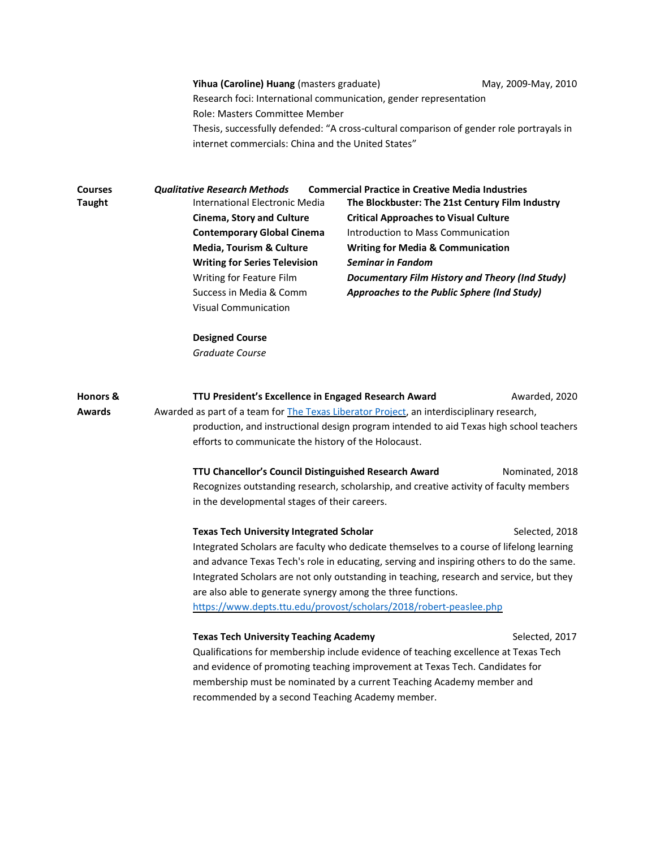|                                      | Yihua (Caroline) Huang (masters graduate)<br>Research foci: International communication, gender representation<br>Role: Masters Committee Member<br>Thesis, successfully defended: "A cross-cultural comparison of gender role portrayals in<br>internet commercials: China and the United States"                                                                                                                                                                                          |                                                                                                                                                                                                                                                                                                                                                                                       | May, 2009-May, 2010 |
|--------------------------------------|---------------------------------------------------------------------------------------------------------------------------------------------------------------------------------------------------------------------------------------------------------------------------------------------------------------------------------------------------------------------------------------------------------------------------------------------------------------------------------------------|---------------------------------------------------------------------------------------------------------------------------------------------------------------------------------------------------------------------------------------------------------------------------------------------------------------------------------------------------------------------------------------|---------------------|
| <b>Courses</b><br><b>Taught</b>      | <b>Qualitative Research Methods</b><br>International Electronic Media<br><b>Cinema, Story and Culture</b><br><b>Contemporary Global Cinema</b><br>Media, Tourism & Culture<br><b>Writing for Series Television</b><br>Writing for Feature Film<br>Success in Media & Comm<br><b>Visual Communication</b>                                                                                                                                                                                    | <b>Commercial Practice in Creative Media Industries</b><br>The Blockbuster: The 21st Century Film Industry<br><b>Critical Approaches to Visual Culture</b><br>Introduction to Mass Communication<br><b>Writing for Media &amp; Communication</b><br><b>Seminar in Fandom</b><br><b>Documentary Film History and Theory (Ind Study)</b><br>Approaches to the Public Sphere (Ind Study) |                     |
|                                      | <b>Designed Course</b><br><b>Graduate Course</b>                                                                                                                                                                                                                                                                                                                                                                                                                                            |                                                                                                                                                                                                                                                                                                                                                                                       |                     |
| <b>Honors &amp;</b><br><b>Awards</b> | TTU President's Excellence in Engaged Research Award<br>Awarded, 2020<br>Awarded as part of a team for The Texas Liberator Project, an interdisciplinary research,<br>production, and instructional design program intended to aid Texas high school teachers<br>efforts to communicate the history of the Holocaust.<br>TTU Chancellor's Council Distinguished Research Award<br>Nominated, 2018                                                                                           |                                                                                                                                                                                                                                                                                                                                                                                       |                     |
|                                      | Recognizes outstanding research, scholarship, and creative activity of faculty members<br>in the developmental stages of their careers.                                                                                                                                                                                                                                                                                                                                                     |                                                                                                                                                                                                                                                                                                                                                                                       |                     |
|                                      | <b>Texas Tech University Integrated Scholar</b><br>Selected, 2018<br>Integrated Scholars are faculty who dedicate themselves to a course of lifelong learning<br>and advance Texas Tech's role in educating, serving and inspiring others to do the same.<br>Integrated Scholars are not only outstanding in teaching, research and service, but they<br>are also able to generate synergy among the three functions.<br>https://www.depts.ttu.edu/provost/scholars/2018/robert-peaslee.php |                                                                                                                                                                                                                                                                                                                                                                                       |                     |
|                                      | <b>Texas Tech University Teaching Academy</b><br>Qualifications for membership include evidence of teaching excellence at Texas Tech<br>and evidence of promoting teaching improvement at Texas Tech. Candidates for<br>membership must be nominated by a current Teaching Academy member and<br>recommended by a second Teaching Academy member.                                                                                                                                           |                                                                                                                                                                                                                                                                                                                                                                                       | Selected, 2017      |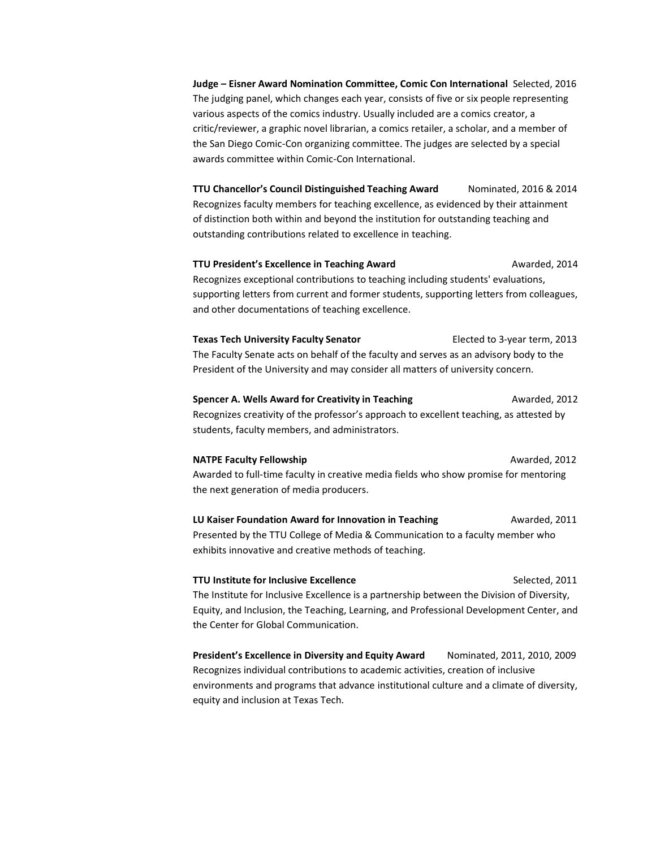**Judge – Eisner Award Nomination Committee, Comic Con International** Selected, 2016 The judging panel, which changes each year, consists of five or six people representing various aspects of the comics industry. Usually included are a comics creator, a critic/reviewer, a graphic novel librarian, a comics retailer, a scholar, and a member of the San Diego Comic-Con organizing committee. The judges are selected by a special awards committee within Comic-Con International.

**TTU Chancellor's Council Distinguished Teaching Award** Nominated, 2016 & 2014 Recognizes faculty members for teaching excellence, as evidenced by their attainment of distinction both within and beyond the institution for outstanding teaching and outstanding contributions related to excellence in teaching.

**TTU President's Excellence in Teaching Award** Awarded, 2014 Recognizes exceptional contributions to teaching including students' evaluations, supporting letters from current and former students, supporting letters from colleagues, and other documentations of teaching excellence.

**Texas Tech University Faculty Senator** Elected to 3-year term, 2013 The Faculty Senate acts on behalf of the faculty and serves as an advisory body to the President of the University and may consider all matters of university concern.

**Spencer A. Wells Award for Creativity in Teaching Manual Awarded, 2012** Recognizes creativity of the professor's approach to excellent teaching, as attested by students, faculty members, and administrators.

**NATPE Faculty Fellowship AWATEL AWARDED AWARDED AREA** Awarded to full-time faculty in creative media fields who show promise for mentoring the next generation of media producers.

**LU Kaiser Foundation Award for Innovation in Teaching Theorem 2011** Awarded, 2011 Presented by the TTU College of Media & Communication to a faculty member who exhibits innovative and creative methods of teaching.

**TTU Institute for Inclusive Excellence** Selected, 2011 The Institute for Inclusive Excellence is a partnership between the Division of Diversity, Equity, and Inclusion, the Teaching, Learning, and Professional Development Center, and the Center for Global Communication.

**President's Excellence in Diversity and Equity Award** Nominated, 2011, 2010, 2009 Recognizes individual contributions to academic activities, creation of inclusive environments and programs that advance institutional culture and a climate of diversity, equity and inclusion at Texas Tech.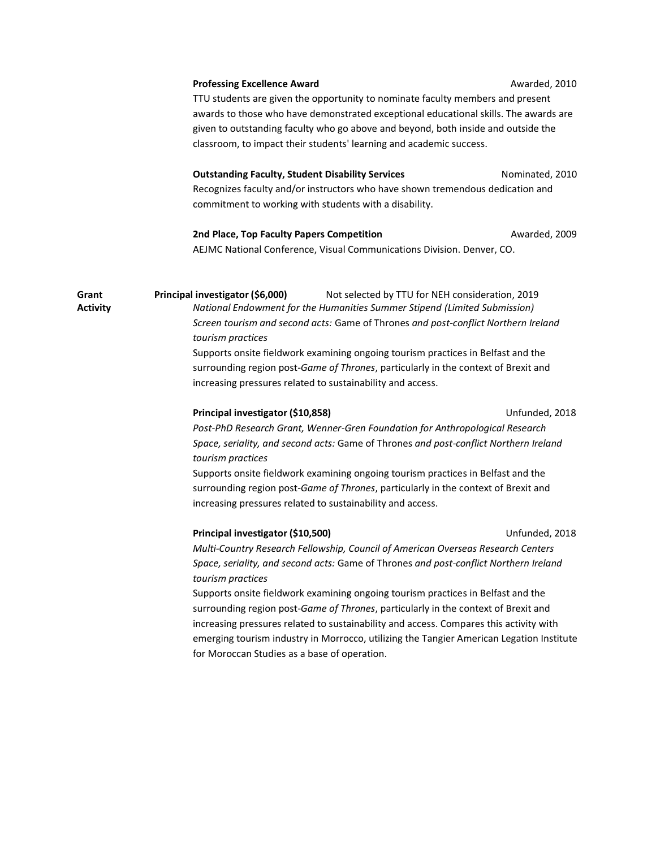|                          | <b>Professing Excellence Award</b><br>Awarded, 2010                                                                                                                                                                                                                                                                                                                                                                                                                                                                                                                                                                                                                   |  |  |
|--------------------------|-----------------------------------------------------------------------------------------------------------------------------------------------------------------------------------------------------------------------------------------------------------------------------------------------------------------------------------------------------------------------------------------------------------------------------------------------------------------------------------------------------------------------------------------------------------------------------------------------------------------------------------------------------------------------|--|--|
|                          | TTU students are given the opportunity to nominate faculty members and present<br>awards to those who have demonstrated exceptional educational skills. The awards are<br>given to outstanding faculty who go above and beyond, both inside and outside the<br>classroom, to impact their students' learning and academic success.                                                                                                                                                                                                                                                                                                                                    |  |  |
|                          | <b>Outstanding Faculty, Student Disability Services</b><br>Nominated, 2010<br>Recognizes faculty and/or instructors who have shown tremendous dedication and<br>commitment to working with students with a disability.                                                                                                                                                                                                                                                                                                                                                                                                                                                |  |  |
|                          | 2nd Place, Top Faculty Papers Competition<br>Awarded, 2009<br>AEJMC National Conference, Visual Communications Division. Denver, CO.                                                                                                                                                                                                                                                                                                                                                                                                                                                                                                                                  |  |  |
| Grant<br><b>Activity</b> | Principal investigator (\$6,000)<br>Not selected by TTU for NEH consideration, 2019<br>National Endowment for the Humanities Summer Stipend (Limited Submission)<br>Screen tourism and second acts: Game of Thrones and post-conflict Northern Ireland<br>tourism practices<br>Supports onsite fieldwork examining ongoing tourism practices in Belfast and the<br>surrounding region post-Game of Thrones, particularly in the context of Brexit and<br>increasing pressures related to sustainability and access.                                                                                                                                                   |  |  |
|                          | Principal investigator (\$10,858)<br>Unfunded, 2018<br>Post-PhD Research Grant, Wenner-Gren Foundation for Anthropological Research<br>Space, seriality, and second acts: Game of Thrones and post-conflict Northern Ireland<br>tourism practices<br>Supports onsite fieldwork examining ongoing tourism practices in Belfast and the<br>surrounding region post-Game of Thrones, particularly in the context of Brexit and<br>increasing pressures related to sustainability and access.                                                                                                                                                                             |  |  |
|                          | Principal investigator (\$10,500)<br>Unfunded, 2018<br>Multi-Country Research Fellowship, Council of American Overseas Research Centers<br>Space, seriality, and second acts: Game of Thrones and post-conflict Northern Ireland<br>tourism practices<br>Supports onsite fieldwork examining ongoing tourism practices in Belfast and the<br>surrounding region post-Game of Thrones, particularly in the context of Brexit and<br>increasing pressures related to sustainability and access. Compares this activity with<br>emerging tourism industry in Morrocco, utilizing the Tangier American Legation Institute<br>for Moroccan Studies as a base of operation. |  |  |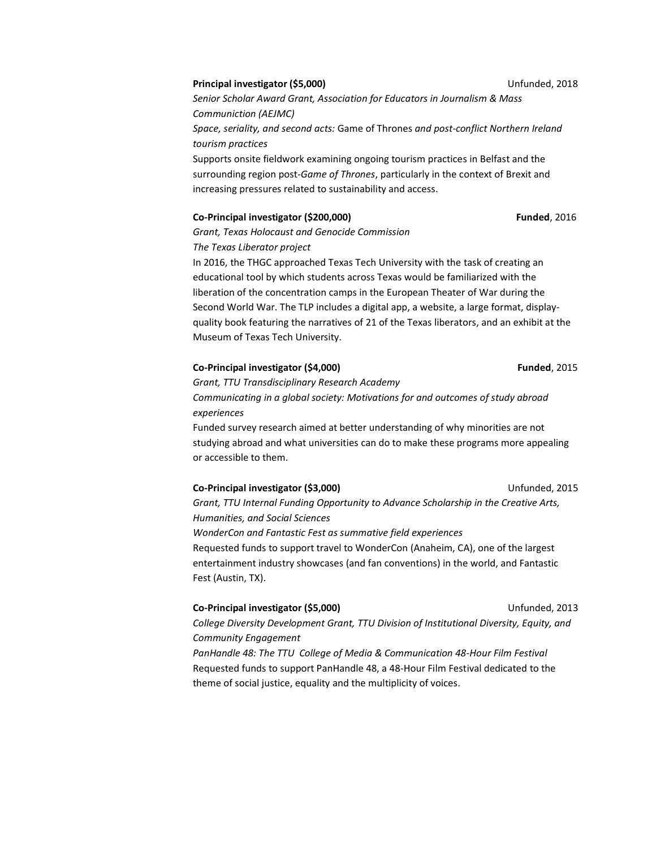#### **Principal investigator (\$5,000)** Unfunded, 2018

*Senior Scholar Award Grant, Association for Educators in Journalism & Mass Communiction (AEJMC) Space, seriality, and second acts:* Game of Thrones *and post-conflict Northern Ireland tourism practices* Supports onsite fieldwork examining ongoing tourism practices in Belfast and the surrounding region post-*Game of Thrones*, particularly in the context of Brexit and increasing pressures related to sustainability and access.

#### **Co-Principal investigator (\$200,000) Funded**, 2016

*Grant, Texas Holocaust and Genocide Commission*

*The Texas Liberator project*

In 2016, the THGC approached Texas Tech University with the task of creating an educational tool by which students across Texas would be familiarized with the liberation of the concentration camps in the European Theater of War during the Second World War. The TLP includes a digital app, a website, a large format, displayquality book featuring the narratives of 21 of the Texas liberators, and an exhibit at the Museum of Texas Tech University.

#### **Co-Principal investigator (\$4,000) Funded**, 2015

*Grant, TTU Transdisciplinary Research Academy Communicating in a global society: Motivations for and outcomes of study abroad experiences*

Funded survey research aimed at better understanding of why minorities are not studying abroad and what universities can do to make these programs more appealing or accessible to them.

#### **Co-Principal investigator (\$3,000)** Unfunded, 2015

*Grant, TTU Internal Funding Opportunity to Advance Scholarship in the Creative Arts, Humanities, and Social Sciences WonderCon and Fantastic Fest as summative field experiences* Requested funds to support travel to WonderCon (Anaheim, CA), one of the largest entertainment industry showcases (and fan conventions) in the world, and Fantastic Fest (Austin, TX).

#### **Co-Principal investigator (\$5,000)** Unfunded, 2013

*College Diversity Development Grant, TTU Division of Institutional Diversity, Equity, and Community Engagement*

*PanHandle 48: The TTU College of Media & Communication 48-Hour Film Festival* Requested funds to support PanHandle 48, a 48-Hour Film Festival dedicated to the theme of social justice, equality and the multiplicity of voices.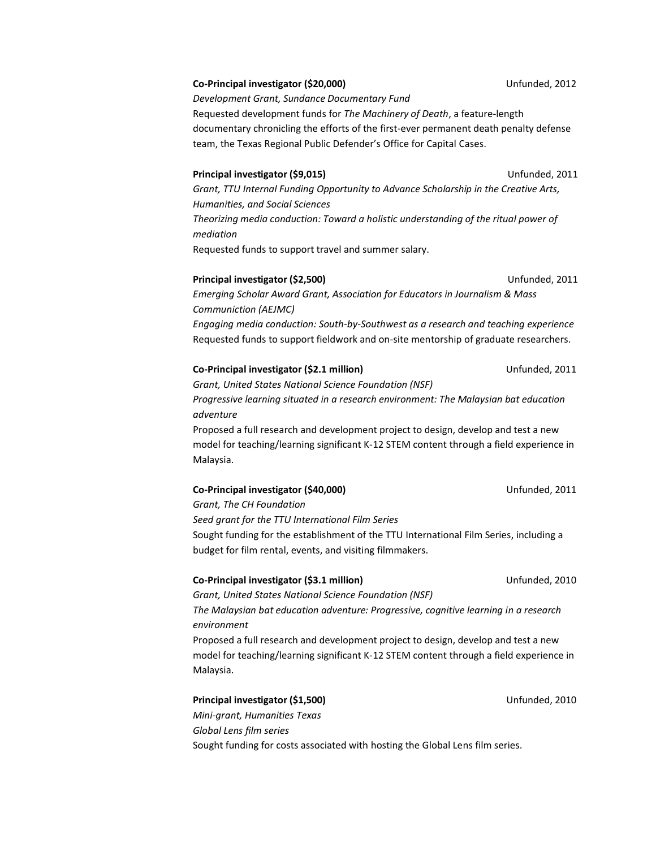#### **Co-Principal investigator (\$20,000)** Unfunded, 2012

*Development Grant, Sundance Documentary Fund* Requested development funds for *The Machinery of Death*, a feature-length documentary chronicling the efforts of the first-ever permanent death penalty defense team, the Texas Regional Public Defender's Office for Capital Cases.

#### **Principal investigator (\$9,015)** Unfunded, 2011

*Grant, TTU Internal Funding Opportunity to Advance Scholarship in the Creative Arts, Humanities, and Social Sciences Theorizing media conduction: Toward a holistic understanding of the ritual power of mediation* Requested funds to support travel and summer salary.

#### **Principal investigator (\$2,500)** Unfunded, 2011

*Emerging Scholar Award Grant, Association for Educators in Journalism & Mass Communiction (AEJMC) Engaging media conduction: South-by-Southwest as a research and teaching experience* Requested funds to support fieldwork and on-site mentorship of graduate researchers.

#### **Co-Principal investigator (\$2.1 million)** Unfunded, 2011

*Grant, United States National Science Foundation (NSF) Progressive learning situated in a research environment: The Malaysian bat education adventure*

Proposed a full research and development project to design, develop and test a new model for teaching/learning significant K-12 STEM content through a field experience in Malaysia.

#### **Co-Principal investigator (\$40,000)** Unfunded, 2011

*Grant, The CH Foundation Seed grant for the TTU International Film Series* Sought funding for the establishment of the TTU International Film Series, including a budget for film rental, events, and visiting filmmakers.

#### **Co-Principal investigator (\$3.1 million)** Unfunded, 2010

*Grant, United States National Science Foundation (NSF) The Malaysian bat education adventure: Progressive, cognitive learning in a research environment* Proposed a full research and development project to design, develop and test a new model for teaching/learning significant K-12 STEM content through a field experience in Malaysia.

#### **Principal investigator (\$1,500)** Distribution of the Unfunded, 2010

*Mini-grant, Humanities Texas Global Lens film series* Sought funding for costs associated with hosting the Global Lens film series.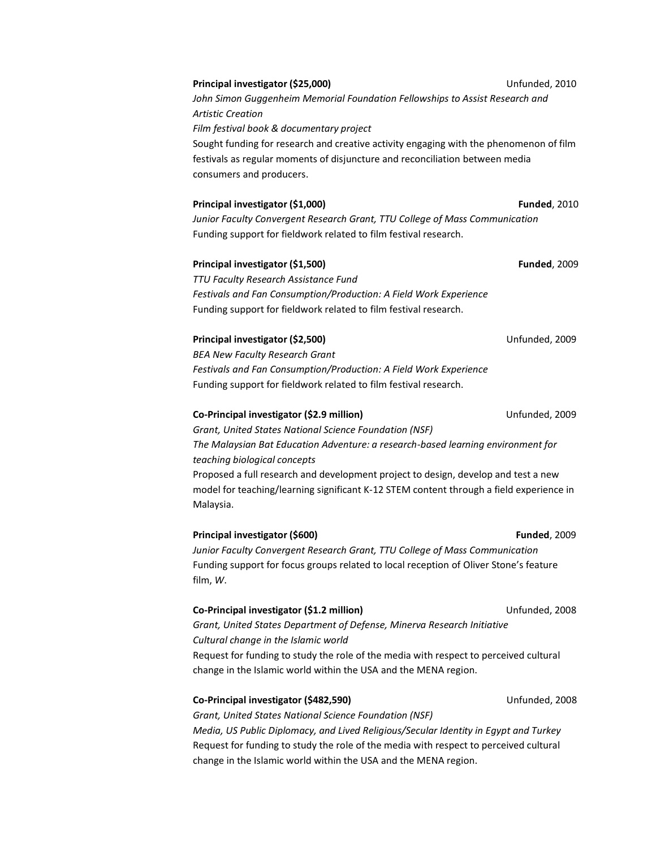### *John Simon Guggenheim Memorial Foundation Fellowships to Assist Research and Artistic Creation Film festival book & documentary project* Sought funding for research and creative activity engaging with the phenomenon of film festivals as regular moments of disjuncture and reconciliation between media consumers and producers.

#### **Principal investigator (\$1,000) Funded**, 2010

*Junior Faculty Convergent Research Grant, TTU College of Mass Communication* Funding support for fieldwork related to film festival research.

### **Principal investigator (\$1,500) Funded**, 2009

*TTU Faculty Research Assistance Fund Festivals and Fan Consumption/Production: A Field Work Experience* Funding support for fieldwork related to film festival research.

#### **Principal investigator (\$2,500)** Unfunded, 2009

*BEA New Faculty Research Grant Festivals and Fan Consumption/Production: A Field Work Experience* Funding support for fieldwork related to film festival research.

#### **Co-Principal investigator (\$2.9 million)** Unfunded, 2009

*Grant, United States National Science Foundation (NSF) The Malaysian Bat Education Adventure: a research-based learning environment for teaching biological concepts* Proposed a full research and development project to design, develop and test a new model for teaching/learning significant K-12 STEM content through a field experience in Malaysia.

#### **Principal investigator (\$600) Funded**, 2009

*Junior Faculty Convergent Research Grant, TTU College of Mass Communication* Funding support for focus groups related to local reception of Oliver Stone's feature film, *W*.

#### **Co-Principal investigator (\$1.2 million)** Unfunded, 2008

*Grant, United States Department of Defense, Minerva Research Initiative Cultural change in the Islamic world* Request for funding to study the role of the media with respect to perceived cultural change in the Islamic world within the USA and the MENA region.

#### **Co-Principal investigator (\$482,590)** Unfunded, 2008

*Grant, United States National Science Foundation (NSF)*

*Media, US Public Diplomacy, and Lived Religious/Secular Identity in Egypt and Turkey* Request for funding to study the role of the media with respect to perceived cultural change in the Islamic world within the USA and the MENA region.

**Principal investigator (\$25,000)** Unfunded, 2010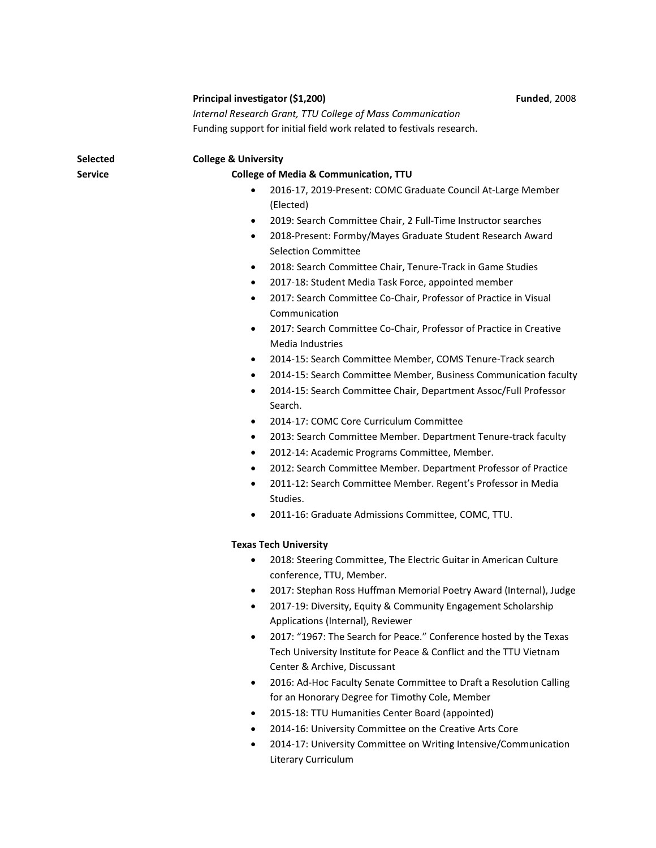|          | Principal investigator (\$1,200)                                                                           | <b>Funded, 2008</b> |
|----------|------------------------------------------------------------------------------------------------------------|---------------------|
|          | Internal Research Grant, TTU College of Mass Communication                                                 |                     |
|          | Funding support for initial field work related to festivals research.                                      |                     |
| Selected | <b>College &amp; University</b>                                                                            |                     |
| Service  | <b>College of Media &amp; Communication, TTU</b>                                                           |                     |
|          | 2016-17, 2019-Present: COMC Graduate Council At-Large Member<br>(Elected)                                  |                     |
|          | 2019: Search Committee Chair, 2 Full-Time Instructor searches<br>$\bullet$                                 |                     |
|          | 2018-Present: Formby/Mayes Graduate Student Research Award<br>$\bullet$                                    |                     |
|          | <b>Selection Committee</b>                                                                                 |                     |
|          | 2018: Search Committee Chair, Tenure-Track in Game Studies<br>$\bullet$                                    |                     |
|          | 2017-18: Student Media Task Force, appointed member<br>$\bullet$                                           |                     |
|          | 2017: Search Committee Co-Chair, Professor of Practice in Visual<br>$\bullet$<br>Communication             |                     |
|          | 2017: Search Committee Co-Chair, Professor of Practice in Creative<br>$\bullet$<br><b>Media Industries</b> |                     |
|          | 2014-15: Search Committee Member, COMS Tenure-Track search<br>$\bullet$                                    |                     |
|          | 2014-15: Search Committee Member, Business Communication faculty<br>$\bullet$                              |                     |
|          | 2014-15: Search Committee Chair, Department Assoc/Full Professor<br>$\bullet$<br>Search.                   |                     |
|          | 2014-17: COMC Core Curriculum Committee<br>$\bullet$                                                       |                     |
|          | 2013: Search Committee Member. Department Tenure-track faculty<br>$\bullet$                                |                     |
|          | 2012-14: Academic Programs Committee, Member.<br>$\bullet$                                                 |                     |
|          | 2012: Search Committee Member. Department Professor of Practice<br>$\bullet$                               |                     |
|          | 2011-12: Search Committee Member. Regent's Professor in Media<br>$\bullet$                                 |                     |
|          | Studies.                                                                                                   |                     |
|          | 2011-16: Graduate Admissions Committee, COMC, TTU.<br>$\bullet$                                            |                     |
|          | <b>Texas Tech University</b>                                                                               |                     |
|          | 2018: Steering Committee, The Electric Guitar in American Culture<br>٠<br>conference, TTU, Member.         |                     |
|          | 2017: Stephan Ross Huffman Memorial Poetry Award (Internal), Judge                                         |                     |
|          | 2017-19: Diversity, Equity & Community Engagement Scholarship                                              |                     |
|          | Applications (Internal), Reviewer                                                                          |                     |
|          | 2017: "1967: The Search for Peace." Conference hosted by the Texas<br>$\bullet$                            |                     |
|          | Tech University Institute for Peace & Conflict and the TTU Vietnam<br>Center & Archive, Discussant         |                     |
|          | 2016: Ad-Hoc Faculty Senate Committee to Draft a Resolution Calling<br>٠                                   |                     |
|          | for an Honorary Degree for Timothy Cole, Member                                                            |                     |
|          | 2015-18: TTU Humanities Center Board (appointed)<br>٠                                                      |                     |

- 2014-16: University Committee on the Creative Arts Core
- 2014-17: University Committee on Writing Intensive/Communication Literary Curriculum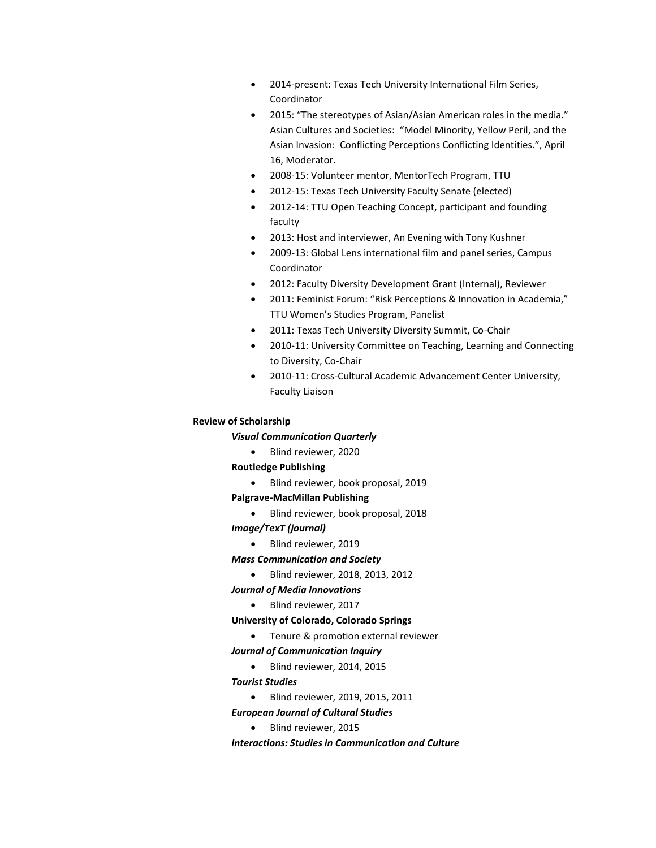- 2014-present: Texas Tech University International Film Series, Coordinator
- 2015: "The stereotypes of Asian/Asian American roles in the media." Asian Cultures and Societies: "Model Minority, Yellow Peril, and the Asian Invasion: Conflicting Perceptions Conflicting Identities.", April 16, Moderator.
- 2008-15: Volunteer mentor, MentorTech Program, TTU
- 2012-15: Texas Tech University Faculty Senate (elected)
- 2012-14: TTU Open Teaching Concept, participant and founding faculty
- 2013: Host and interviewer, An Evening with Tony Kushner
- 2009-13: Global Lens international film and panel series, Campus Coordinator
- 2012: Faculty Diversity Development Grant (Internal), Reviewer
- 2011: Feminist Forum: "Risk Perceptions & Innovation in Academia," TTU Women's Studies Program, Panelist
- 2011: Texas Tech University Diversity Summit, Co-Chair
- 2010-11: University Committee on Teaching, Learning and Connecting to Diversity, Co-Chair
- 2010-11: Cross-Cultural Academic Advancement Center University, Faculty Liaison

#### **Review of Scholarship**

*Visual Communication Quarterly*

• Blind reviewer, 2020

#### **Routledge Publishing**

• Blind reviewer, book proposal, 2019

#### **Palgrave-MacMillan Publishing**

- Blind reviewer, book proposal, 2018
- *Image/TexT (journal)*
	- Blind reviewer, 2019

#### *Mass Communication and Society*

• Blind reviewer, 2018, 2013, 2012

*Journal of Media Innovations*

• Blind reviewer, 2017

#### **University of Colorado, Colorado Springs**

• Tenure & promotion external reviewer

#### *Journal of Communication Inquiry*

• Blind reviewer, 2014, 2015

#### *Tourist Studies*

• Blind reviewer, 2019, 2015, 2011

#### *European Journal of Cultural Studies*

• Blind reviewer, 2015

*Interactions: Studies in Communication and Culture*